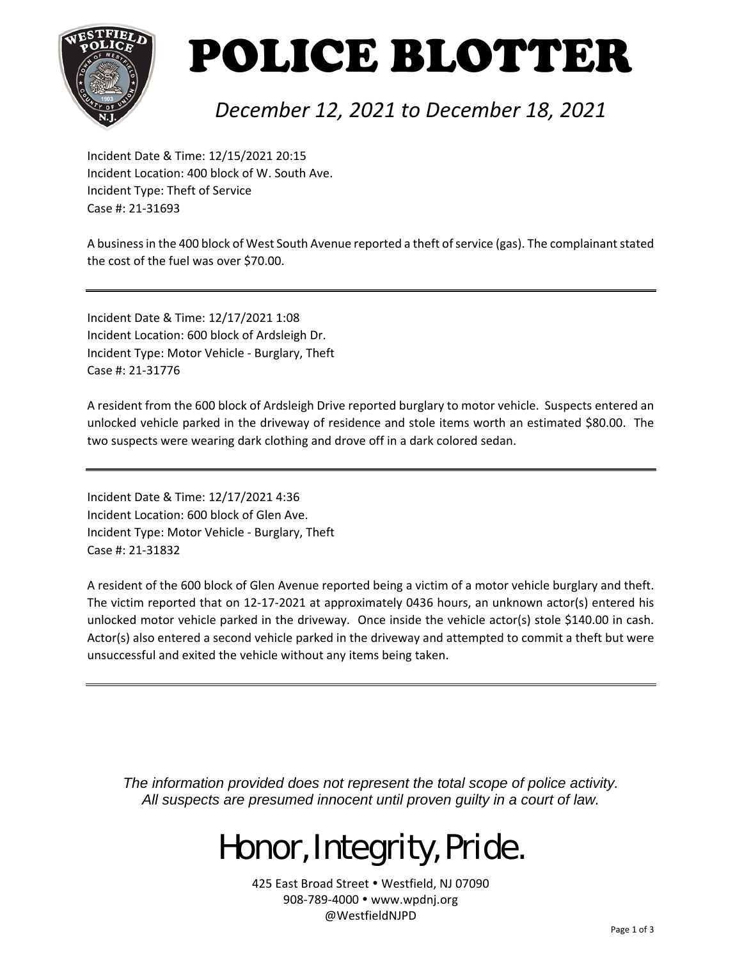

## POLICE BLOTTER

#### *December 12, 2021 to December 18, 2021*

Incident Date & Time: 12/15/2021 20:15 Incident Location: 400 block of W. South Ave. Incident Type: Theft of Service Case #: 21‐31693

A business in the 400 block of West South Avenue reported a theft of service (gas). The complainant stated the cost of the fuel was over \$70.00.

Incident Date & Time: 12/17/2021 1:08 Incident Location: 600 block of Ardsleigh Dr. Incident Type: Motor Vehicle ‐ Burglary, Theft Case #: 21‐31776

A resident from the 600 block of Ardsleigh Drive reported burglary to motor vehicle. Suspects entered an unlocked vehicle parked in the driveway of residence and stole items worth an estimated \$80.00. The two suspects were wearing dark clothing and drove off in a dark colored sedan.

Incident Date & Time: 12/17/2021 4:36 Incident Location: 600 block of Glen Ave. Incident Type: Motor Vehicle ‐ Burglary, Theft Case #: 21‐31832

A resident of the 600 block of Glen Avenue reported being a victim of a motor vehicle burglary and theft. The victim reported that on 12‐17‐2021 at approximately 0436 hours, an unknown actor(s) entered his unlocked motor vehicle parked in the driveway. Once inside the vehicle actor(s) stole \$140.00 in cash. Actor(s) also entered a second vehicle parked in the driveway and attempted to commit a theft but were unsuccessful and exited the vehicle without any items being taken.

*The information provided does not represent the total scope of police activity. All suspects are presumed innocent until proven guilty in a court of law.* 

## Honor, Integrity, Pride.

425 East Broad Street . Westfield, NJ 07090 908-789-4000 · www.wpdnj.org @WestfieldNJPD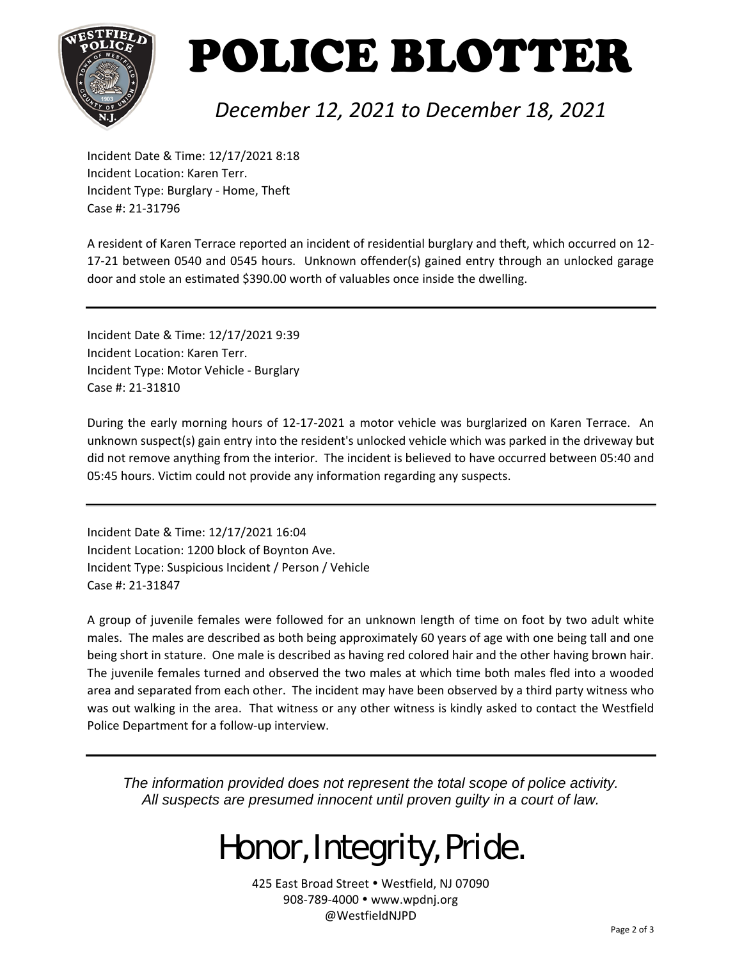

# POLICE BLOTTER

#### *December 12, 2021 to December 18, 2021*

Incident Date & Time: 12/17/2021 8:18 Incident Location: Karen Terr. Incident Type: Burglary ‐ Home, Theft Case #: 21‐31796

A resident of Karen Terrace reported an incident of residential burglary and theft, which occurred on 12‐ 17‐21 between 0540 and 0545 hours. Unknown offender(s) gained entry through an unlocked garage door and stole an estimated \$390.00 worth of valuables once inside the dwelling.

Incident Date & Time: 12/17/2021 9:39 Incident Location: Karen Terr. Incident Type: Motor Vehicle ‐ Burglary Case #: 21‐31810

During the early morning hours of 12-17-2021 a motor vehicle was burglarized on Karen Terrace. An unknown suspect(s) gain entry into the resident's unlocked vehicle which was parked in the driveway but did not remove anything from the interior. The incident is believed to have occurred between 05:40 and 05:45 hours. Victim could not provide any information regarding any suspects.

Incident Date & Time: 12/17/2021 16:04 Incident Location: 1200 block of Boynton Ave. Incident Type: Suspicious Incident / Person / Vehicle Case #: 21‐31847

A group of juvenile females were followed for an unknown length of time on foot by two adult white males. The males are described as both being approximately 60 years of age with one being tall and one being short in stature. One male is described as having red colored hair and the other having brown hair. The juvenile females turned and observed the two males at which time both males fled into a wooded area and separated from each other. The incident may have been observed by a third party witness who was out walking in the area. That witness or any other witness is kindly asked to contact the Westfield Police Department for a follow‐up interview.

*The information provided does not represent the total scope of police activity. All suspects are presumed innocent until proven guilty in a court of law.* 

## Honor, Integrity, Pride.

425 East Broad Street . Westfield, NJ 07090 908-789-4000 · www.wpdnj.org @WestfieldNJPD